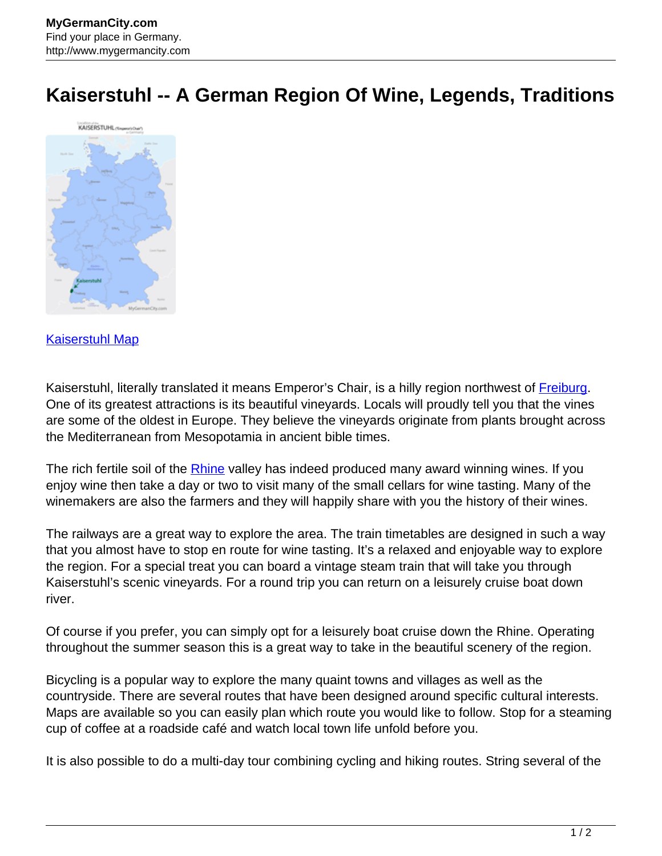## **Kaiserstuhl -- A German Region Of Wine, Legends, Traditions**



## [Kaiserstuhl Map](http://www.mygermancity.com/kaiserstuhl-map)

Kaiserstuhl, literally translated it means Emperor's Chair, is a hilly region northwest of [Freiburg](http://www.mygermancity.com/freiburg). One of its greatest attractions is its beautiful vineyards. Locals will proudly tell you that the vines are some of the oldest in Europe. They believe the vineyards originate from plants brought across the Mediterranean from Mesopotamia in ancient bible times.

The rich fertile soil of the [Rhine](http://www.mygermancity.com/rhine) valley has indeed produced many award winning wines. If you enjoy wine then take a day or two to visit many of the small cellars for wine tasting. Many of the winemakers are also the farmers and they will happily share with you the history of their wines.

The railways are a great way to explore the area. The train timetables are designed in such a way that you almost have to stop en route for wine tasting. It's a relaxed and enjoyable way to explore the region. For a special treat you can board a vintage steam train that will take you through Kaiserstuhl's scenic vineyards. For a round trip you can return on a leisurely cruise boat down river.

Of course if you prefer, you can simply opt for a leisurely boat cruise down the Rhine. Operating throughout the summer season this is a great way to take in the beautiful scenery of the region.

Bicycling is a popular way to explore the many quaint towns and villages as well as the countryside. There are several routes that have been designed around specific cultural interests. Maps are available so you can easily plan which route you would like to follow. Stop for a steaming cup of coffee at a roadside café and watch local town life unfold before you.

It is also possible to do a multi-day tour combining cycling and hiking routes. String several of the